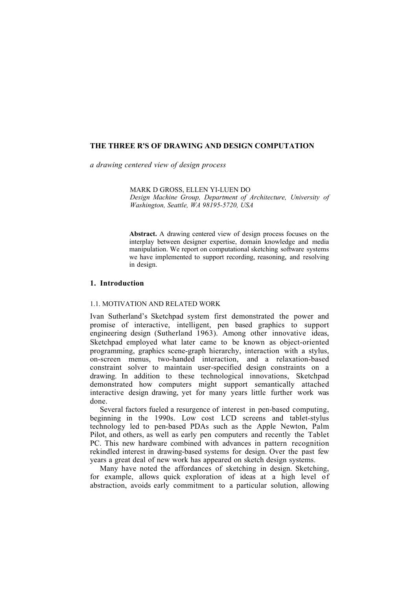# **THE THREE R'S OF DRAWING AND DESIGN COMPUTATION**

*a drawing centered view of design process*

MARK D GROSS, ELLEN YI-LUEN DO *Design Machine Group, Department of Architecture, University of Washington, Seattle, WA 98195-5720, USA*

**Abstract.** A drawing centered view of design process focuses on the interplay between designer expertise, domain knowledge and media manipulation. We report on computational sketching software systems we have implemented to support recording, reasoning, and resolving in design.

# **1. Introduction**

# 1.1. MOTIVATION AND RELATED WORK

Ivan Sutherland's Sketchpad system first demonstrated the power and promise of interactive, intelligent, pen based graphics to support engineering design (Sutherland 1963). Among other innovative ideas, Sketchpad employed what later came to be known as object-oriented programming, graphics scene-graph hierarchy, interaction with a stylus, on-screen menus, two-handed interaction, and a relaxation-based constraint solver to maintain user-specified design constraints on a drawing. In addition to these technological innovations, Sketchpad demonstrated how computers might support semantically attached interactive design drawing, yet for many years little further work was done.

Several factors fueled a resurgence of interest in pen-based computing, beginning in the 1990s. Low cost LCD screens and tablet-stylus technology led to pen-based PDAs such as the Apple Newton, Palm Pilot, and others, as well as early pen computers and recently the Tablet PC. This new hardware combined with advances in pattern recognition rekindled interest in drawing-based systems for design. Over the past few years a great deal of new work has appeared on sketch design systems.

Many have noted the affordances of sketching in design. Sketching, for example, allows quick exploration of ideas at a high level of abstraction, avoids early commitment to a particular solution, allowing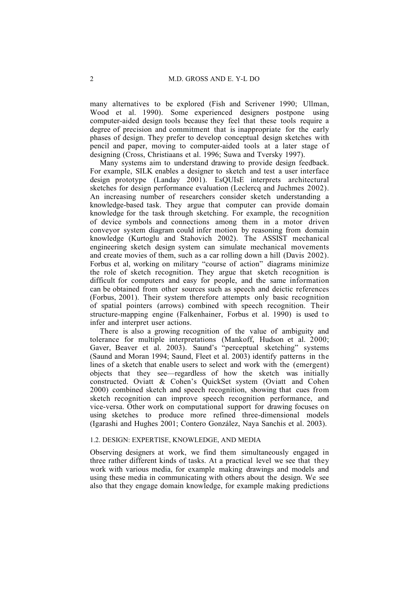many alternatives to be explored (Fish and Scrivener 1990; Ullman, Wood et al. 1990). Some experienced designers postpone using computer-aided design tools because they feel that these tools require a degree of precision and commitment that is inappropriate for the early phases of design. They prefer to develop conceptual design sketches with pencil and paper, moving to computer-aided tools at a later stage of designing (Cross, Christiaans et al. 1996; Suwa and Tversky 1997).

Many systems aim to understand drawing to provide design feedback. For example, SILK enables a designer to sketch and test a user interface design prototype (Landay 2001). EsQUIsE interprets architectural sketches for design performance evaluation (Leclercq and Juchmes 2002). An increasing number of researchers consider sketch understanding a knowledge-based task. They argue that computer can provide domain knowledge for the task through sketching. For example, the recognition of device symbols and connections among them in a motor driven conveyor system diagram could infer motion by reasoning from domain knowledge (Kurtoglu and Stahovich 2002). The ASSIST mechanical engineering sketch design system can simulate mechanical movements and create movies of them, such as a car rolling down a hill (Davis 2002). Forbus et al, working on military "course of action" diagrams minimize the role of sketch recognition. They argue that sketch recognition is difficult for computers and easy for people, and the same information can be obtained from other sources such as speech and deictic references (Forbus, 2001). Their system therefore attempts only basic recognition of spatial pointers (arrows) combined with speech recognition. Their structure-mapping engine (Falkenhainer, Forbus et al. 1990) is used to infer and interpret user actions.

There is also a growing recognition of the value of ambiguity and tolerance for multiple interpretations (Mankoff, Hudson et al. 2000; Gaver, Beaver et al. 2003). Saund's "perceptual sketching" systems (Saund and Moran 1994; Saund, Fleet et al. 2003) identify patterns in the lines of a sketch that enable users to select and work with the (emergent) objects that they see—regardless of how the sketch was initially constructed. Oviatt & Cohen's QuickSet system (Oviatt and Cohen 2000) combined sketch and speech recognition, showing that cues from sketch recognition can improve speech recognition performance, and vice-versa. Other work on computational support for drawing focuses on using sketches to produce more refined three-dimensional models (Igarashi and Hughes 2001; Contero González, Naya Sanchis et al. 2003).

#### 1.2. DESIGN: EXPERTISE, KNOWLEDGE, AND MEDIA

Observing designers at work, we find them simultaneously engaged in three rather different kinds of tasks. At a practical level we see that they work with various media, for example making drawings and models and using these media in communicating with others about the design. We see also that they engage domain knowledge, for example making predictions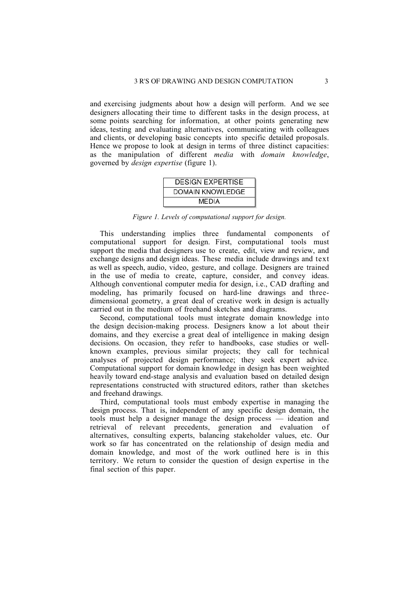and exercising judgments about how a design will perform. And we see designers allocating their time to different tasks in the design process, at some points searching for information, at other points generating new ideas, testing and evaluating alternatives, communicating with colleagues and clients, or developing basic concepts into specific detailed proposals. Hence we propose to look at design in terms of three distinct capacities: as the manipulation of different *media* with *domain knowledge*, governed by *design expertise* (figure 1).



*Figure 1. Levels of computational support for design.*

This understanding implies three fundamental components of computational support for design. First, computational tools must support the media that designers use to create, edit, view and review, and exchange designs and design ideas. These media include drawings and text as well as speech, audio, video, gesture, and collage. Designers are trained in the use of media to create, capture, consider, and convey ideas. Although conventional computer media for design, i.e., CAD drafting and modeling, has primarily focused on hard-line drawings and threedimensional geometry, a great deal of creative work in design is actually carried out in the medium of freehand sketches and diagrams.

Second, computational tools must integrate domain knowledge into the design decision-making process. Designers know a lot about their domains, and they exercise a great deal of intelligence in making design decisions. On occasion, they refer to handbooks, case studies or wellknown examples, previous similar projects; they call for technical analyses of projected design performance; they seek expert advice. Computational support for domain knowledge in design has been weighted heavily toward end-stage analysis and evaluation based on detailed design representations constructed with structured editors, rather than sketches and freehand drawings.

Third, computational tools must embody expertise in managing the design process. That is, independent of any specific design domain, the tools must help a designer manage the design process — ideation and retrieval of relevant precedents, generation and evaluation of alternatives, consulting experts, balancing stakeholder values, etc. Our work so far has concentrated on the relationship of design media and domain knowledge, and most of the work outlined here is in this territory. We return to consider the question of design expertise in the final section of this paper.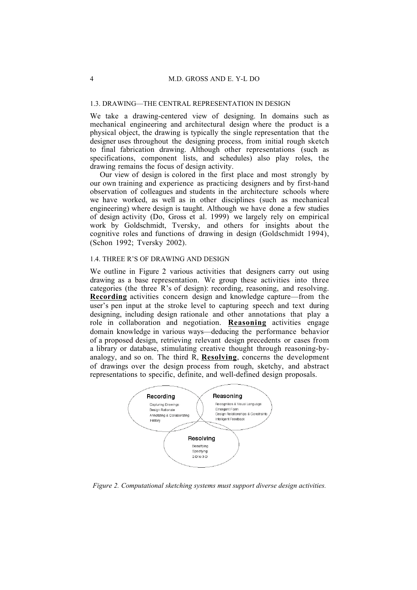# 1.3. DRAWING—THE CENTRAL REPRESENTATION IN DESIGN

We take a drawing-centered view of designing. In domains such as mechanical engineering and architectural design where the product is a physical object, the drawing is typically the single representation that the designer uses throughout the designing process, from initial rough sketch to final fabrication drawing. Although other representations (such as specifications, component lists, and schedules) also play roles, the drawing remains the focus of design activity.

Our view of design is colored in the first place and most strongly by our own training and experience as practicing designers and by first-hand observation of colleagues and students in the architecture schools where we have worked, as well as in other disciplines (such as mechanical engineering) where design is taught. Although we have done a few studies of design activity (Do, Gross et al. 1999) we largely rely on empirical work by Goldschmidt, Tversky, and others for insights about the cognitive roles and functions of drawing in design (Goldschmidt 1994), (Schon 1992; Tversky 2002).

### 1.4. THREE R'S OF DRAWING AND DESIGN

We outline in Figure 2 various activities that designers carry out using drawing as a base representation. We group these activities into three categories (the three R's of design): recording, reasoning, and resolving. **Recording** activities concern design and knowledge capture—from the user's pen input at the stroke level to capturing speech and text during designing, including design rationale and other annotations that play a role in collaboration and negotiation. **Reasoning** activities engage domain knowledge in various ways—deducing the performance behavior of a proposed design, retrieving relevant design precedents or cases from a library or database, stimulating creative thought through reasoning-byanalogy, and so on. The third R, **Resolving**, concerns the development of drawings over the design process from rough, sketchy, and abstract representations to specific, definite, and well-defined design proposals.



*Figure 2. Computational sketching systems must support diverse design activities.*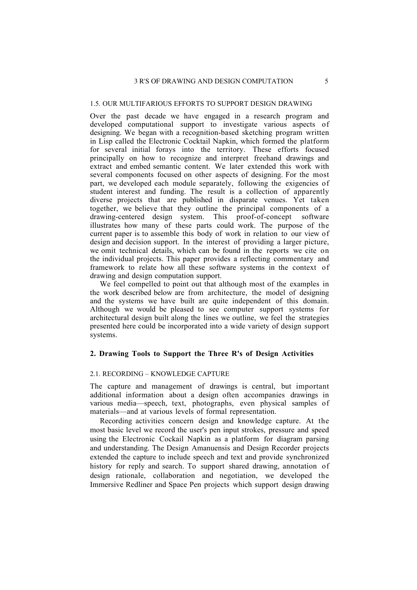# 1.5. OUR MULTIFARIOUS EFFORTS TO SUPPORT DESIGN DRAWING

Over the past decade we have engaged in a research program and developed computational support to investigate various aspects of designing. We began with a recognition-based sketching program written in Lisp called the Electronic Cocktail Napkin, which formed the platform for several initial forays into the territory. These efforts focused principally on how to recognize and interpret freehand drawings and extract and embed semantic content. We later extended this work with several components focused on other aspects of designing. For the most part, we developed each module separately, following the exigencies of student interest and funding. The result is a collection of apparently diverse projects that are published in disparate venues. Yet taken together, we believe that they outline the principal components of a drawing-centered design system. This proof-of-concept software illustrates how many of these parts could work. The purpose of the current paper is to assemble this body of work in relation to our view of design and decision support. In the interest of providing a larger picture, we omit technical details, which can be found in the reports we cite on the individual projects. This paper provides a reflecting commentary and framework to relate how all these software systems in the context of drawing and design computation support.

We feel compelled to point out that although most of the examples in the work described below are from architecture, the model of designing and the systems we have built are quite independent of this domain. Although we would be pleased to see computer support systems for architectural design built along the lines we outline, we feel the strategies presented here could be incorporated into a wide variety of design support systems.

### **2. Drawing Tools to Support the Three R's of Design Activities**

# 2.1. RECORDING – KNOWLEDGE CAPTURE

The capture and management of drawings is central, but important additional information about a design often accompanies drawings in various media—speech, text, photographs, even physical samples of materials—and at various levels of formal representation.

Recording activities concern design and knowledge capture. At the most basic level we record the user's pen input strokes, pressure and speed using the Electronic Cockail Napkin as a platform for diagram parsing and understanding. The Design Amanuensis and Design Recorder projects extended the capture to include speech and text and provide synchronized history for reply and search. To support shared drawing, annotation of design rationale, collaboration and negotiation, we developed the Immersive Redliner and Space Pen projects which support design drawing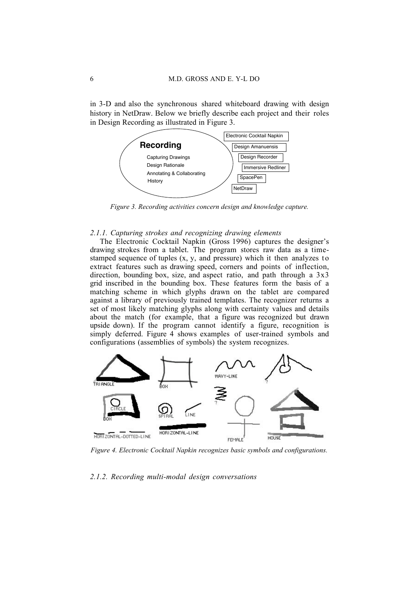in 3-D and also the synchronous shared whiteboard drawing with design history in NetDraw. Below we briefly describe each project and their roles in Design Recording as illustrated in Figure 3.



*Figure 3. Recording activities concern design and knowledge capture.*

#### *2.1.1. Capturing strokes and recognizing drawing elements*

The Electronic Cocktail Napkin (Gross 1996) captures the designer's drawing strokes from a tablet. The program stores raw data as a timestamped sequence of tuples  $(x, y,$  and pressure) which it then analyzes to extract features such as drawing speed, corners and points of inflection, direction, bounding box, size, and aspect ratio, and path through a  $3x3$ grid inscribed in the bounding box. These features form the basis of a matching scheme in which glyphs drawn on the tablet are compared against a library of previously trained templates. The recognizer returns a set of most likely matching glyphs along with certainty values and details about the match (for example, that a figure was recognized but drawn upside down). If the program cannot identify a figure, recognition is simply deferred. Figure 4 shows examples of user-trained symbols and configurations (assemblies of symbols) the system recognizes.



*Figure 4. Electronic Cocktail Napkin recognizes basic symbols and configurations.*

### *2.1.2. Recording multi-modal design conversations*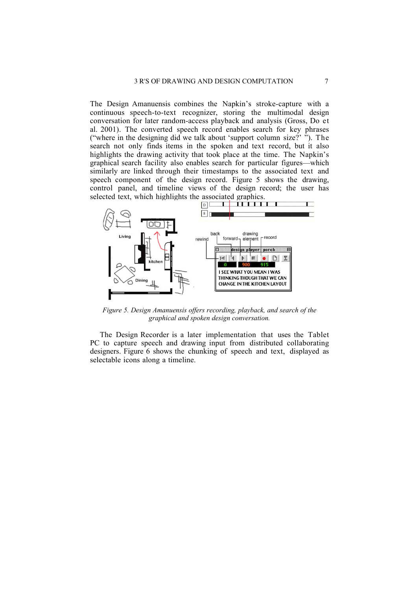The Design Amanuensis combines the Napkin's stroke-capture with a continuous speech-to-text recognizer, storing the multimodal design conversation for later random-access playback and analysis (Gross, Do et al. 2001). The converted speech record enables search for key phrases ("where in the designing did we talk about 'support column size?' "). The search not only finds items in the spoken and text record, but it also highlights the drawing activity that took place at the time. The Napkin's graphical search facility also enables search for particular figures—which similarly are linked through their timestamps to the associated text and speech component of the design record. Figure 5 shows the drawing, control panel, and timeline views of the design record; the user has selected text, which highlights the associated graphics.



*Figure 5. Design Amanuensis offers recording, playback, and search of the graphical and spoken design conversation.*

The Design Recorder is a later implementation that uses the Tablet PC to capture speech and drawing input from distributed collaborating designers. Figure 6 shows the chunking of speech and text, displayed as selectable icons along a timeline.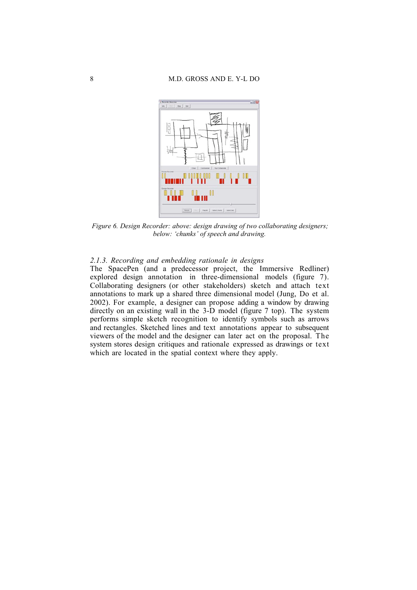

*Figure 6. Design Recorder: above: design drawing of two collaborating designers; below: 'chunks' of speech and drawing.*

# *2.1.3. Recording and embedding rationale in designs*

The SpacePen (and a predecessor project, the Immersive Redliner) explored design annotation in three-dimensional models (figure 7). Collaborating designers (or other stakeholders) sketch and attach text annotations to mark up a shared three dimensional model (Jung, Do et al. 2002). For example, a designer can propose adding a window by drawing directly on an existing wall in the 3-D model (figure 7 top). The system performs simple sketch recognition to identify symbols such as arrows and rectangles. Sketched lines and text annotations appear to subsequent viewers of the model and the designer can later act on the proposal. The system stores design critiques and rationale expressed as drawings or text which are located in the spatial context where they apply.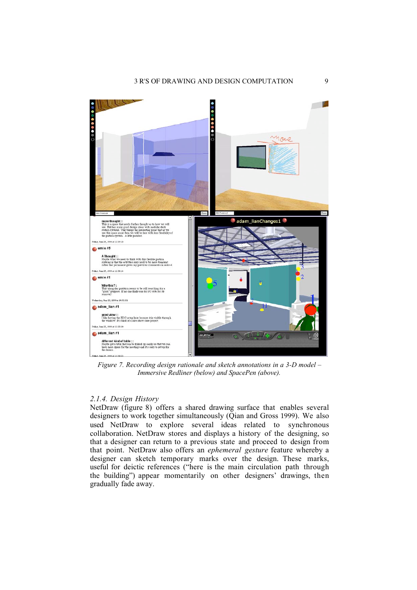

*Figure 7. Recording design rationale and sketch annotations in a 3-D model – Immersive Redliner (below) and SpacePen (above).*

# *2.1.4. Design History*

NetDraw (figure 8) offers a shared drawing surface that enables several designers to work together simultaneously (Qian and Gross 1999). We also used NetDraw to explore several ideas related to synchronous collaboration. NetDraw stores and displays a history of the designing, so that a designer can return to a previous state and proceed to design from that point. NetDraw also offers an *ephemeral gesture* feature whereby a designer can sketch temporary marks over the design. These marks, useful for deictic references ("here is the main circulation path through the building") appear momentarily on other designers' drawings, then gradually fade away.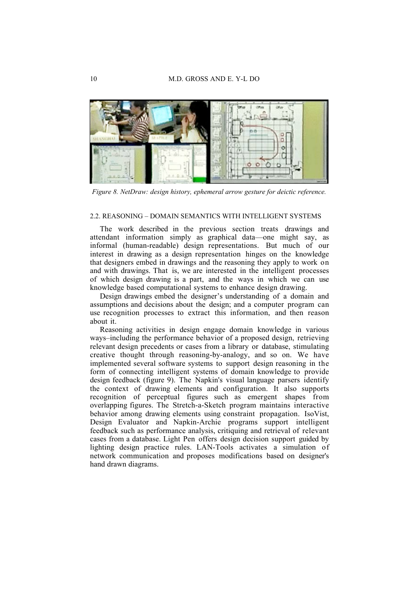

*Figure 8. NetDraw: design history, ephemeral arrow gesture for deictic reference.*

#### 2.2. REASONING – DOMAIN SEMANTICS WITH INTELLIGENT SYSTEMS

The work described in the previous section treats drawings and attendant information simply as graphical data—one might say, as informal (human-readable) design representations. But much of our interest in drawing as a design representation hinges on the knowledge that designers embed in drawings and the reasoning they apply to work on and with drawings. That is, we are interested in the intelligent processes of which design drawing is a part, and the ways in which we can use knowledge based computational systems to enhance design drawing.

Design drawings embed the designer's understanding of a domain and assumptions and decisions about the design; and a computer program can use recognition processes to extract this information, and then reason about it.

Reasoning activities in design engage domain knowledge in various ways–including the performance behavior of a proposed design, retrieving relevant design precedents or cases from a library or database, stimulating creative thought through reasoning-by-analogy, and so on. We have implemented several software systems to support design reasoning in the form of connecting intelligent systems of domain knowledge to provide design feedback (figure 9). The Napkin's visual language parsers identify the context of drawing elements and configuration. It also supports recognition of perceptual figures such as emergent shapes from overlapping figures. The Stretch-a-Sketch program maintains interactive behavior among drawing elements using constraint propagation. IsoVist, Design Evaluator and Napkin-Archie programs support intelligent feedback such as performance analysis, critiquing and retrieval of relevant cases from a database. Light Pen offers design decision support guided by lighting design practice rules. LAN-Tools activates a simulation of network communication and proposes modifications based on designer's hand drawn diagrams.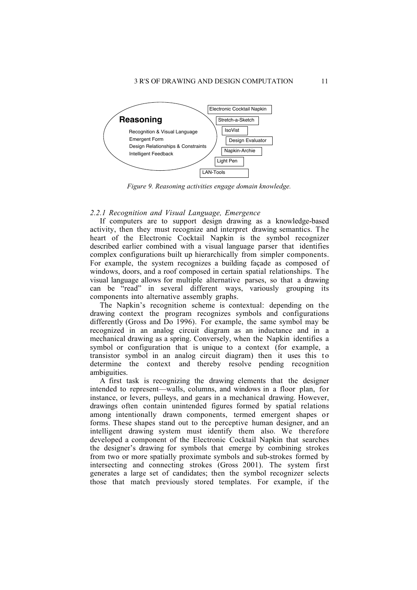

*Figure 9. Reasoning activities engage domain knowledge.*

# *2.2.1 Recognition and Visual Language, Emergence*

If computers are to support design drawing as a knowledge-based activity, then they must recognize and interpret drawing semantics. The heart of the Electronic Cocktail Napkin is the symbol recognizer described earlier combined with a visual language parser that identifies complex configurations built up hierarchically from simpler components. For example, the system recognizes a building façade as composed of windows, doors, and a roof composed in certain spatial relationships. The visual language allows for multiple alternative parses, so that a drawing can be "read" in several different ways, variously grouping its components into alternative assembly graphs.

The Napkin's recognition scheme is contextual: depending on the drawing context the program recognizes symbols and configurations differently (Gross and Do 1996). For example, the same symbol may be recognized in an analog circuit diagram as an inductance and in a mechanical drawing as a spring. Conversely, when the Napkin identifies a symbol or configuration that is unique to a context (for example, a transistor symbol in an analog circuit diagram) then it uses this to determine the context and thereby resolve pending recognition ambiguities.

A first task is recognizing the drawing elements that the designer intended to represent—walls, columns, and windows in a floor plan, for instance, or levers, pulleys, and gears in a mechanical drawing. However, drawings often contain unintended figures formed by spatial relations among intentionally drawn components, termed emergent shapes or forms. These shapes stand out to the perceptive human designer, and an intelligent drawing system must identify them also. We therefore developed a component of the Electronic Cocktail Napkin that searches the designer's drawing for symbols that emerge by combining strokes from two or more spatially proximate symbols and sub-strokes formed by intersecting and connecting strokes (Gross 2001). The system first generates a large set of candidates; then the symbol recognizer selects those that match previously stored templates. For example, if the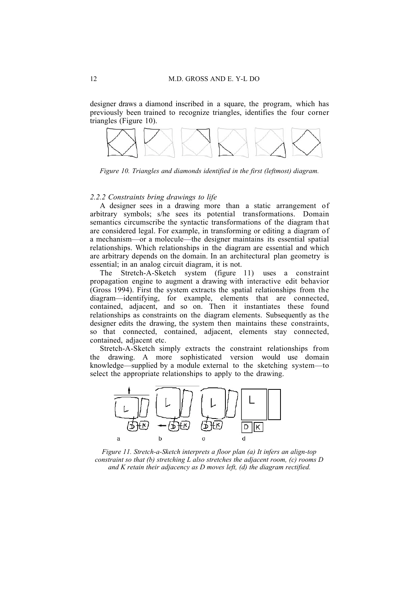designer draws a diamond inscribed in a square, the program, which has previously been trained to recognize triangles, identifies the four corner triangles (Figure 10).



*Figure 10. Triangles and diamonds identified in the first (leftmost) diagram.*

# *2.2.2 Constraints bring drawings to life*

A designer sees in a drawing more than a static arrangement of arbitrary symbols; s/he sees its potential transformations. Domain semantics circumscribe the syntactic transformations of the diagram that are considered legal. For example, in transforming or editing a diagram of a mechanism—or a molecule—the designer maintains its essential spatial relationships. Which relationships in the diagram are essential and which are arbitrary depends on the domain. In an architectural plan geometry is essential; in an analog circuit diagram, it is not.

The Stretch-A-Sketch system (figure 11) uses a constraint propagation engine to augment a drawing with interactive edit behavior (Gross 1994). First the system extracts the spatial relationships from the diagram—identifying, for example, elements that are connected, contained, adjacent, and so on. Then it instantiates these found relationships as constraints on the diagram elements. Subsequently as the designer edits the drawing, the system then maintains these constraints, so that connected, contained, adjacent, elements stay connected, contained, adjacent etc.

Stretch-A-Sketch simply extracts the constraint relationships from the drawing. A more sophisticated version would use domain knowledge—supplied by a module external to the sketching system—to select the appropriate relationships to apply to the drawing.



*Figure 11. Stretch-a-Sketch interprets a floor plan (a) It infers an align-top constraint so that (b) stretching L also stretches the adjacent room, (c) rooms D and K retain their adjacency as D moves left, (d) the diagram rectified.*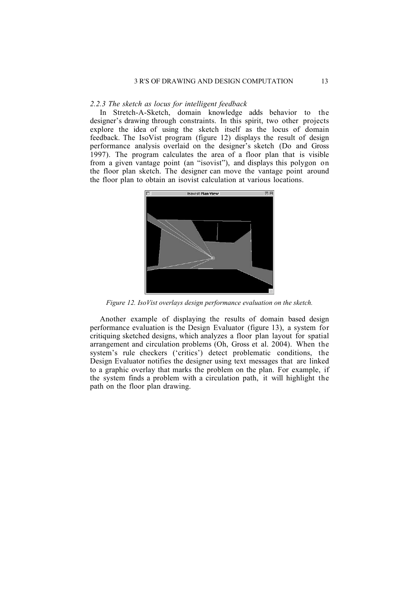### *2.2.3 The sketch as locus for intelligent feedback*

In Stretch-A-Sketch, domain knowledge adds behavior to the designer's drawing through constraints. In this spirit, two other projects explore the idea of using the sketch itself as the locus of domain feedback. The IsoVist program (figure 12) displays the result of design performance analysis overlaid on the designer's sketch (Do and Gross 1997). The program calculates the area of a floor plan that is visible from a given vantage point (an "isovist"), and displays this polygon on the floor plan sketch. The designer can move the vantage point around the floor plan to obtain an isovist calculation at various locations.



*Figure 12. IsoVist overlays design performance evaluation on the sketch.*

Another example of displaying the results of domain based design performance evaluation is the Design Evaluator (figure 13), a system for critiquing sketched designs, which analyzes a floor plan layout for spatial arrangement and circulation problems (Oh, Gross et al. 2004). When the system's rule checkers ('critics') detect problematic conditions, the Design Evaluator notifies the designer using text messages that are linked to a graphic overlay that marks the problem on the plan. For example, if the system finds a problem with a circulation path, it will highlight the path on the floor plan drawing.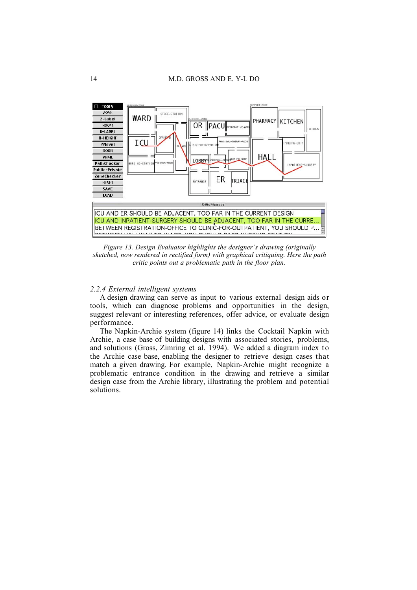

*Figure 13. Design Evaluator highlights the designer's drawing (originally sketched, now rendered in rectified form) with graphical critiquing. Here the path critic points out a problematic path in the floor plan.*

### *2.2.4 External intelligent systems*

A design drawing can serve as input to various external design aids or tools, which can diagnose problems and opportunities in the design, suggest relevant or interesting references, offer advice, or evaluate design performance.

The Napkin-Archie system (figure 14) links the Cocktail Napkin with Archie, a case base of building designs with associated stories, problems, and solutions (Gross, Zimring et al. 1994). We added a diagram index to the Archie case base, enabling the designer to retrieve design cases that match a given drawing. For example, Napkin-Archie might recognize a problematic entrance condition in the drawing and retrieve a similar design case from the Archie library, illustrating the problem and potential solutions.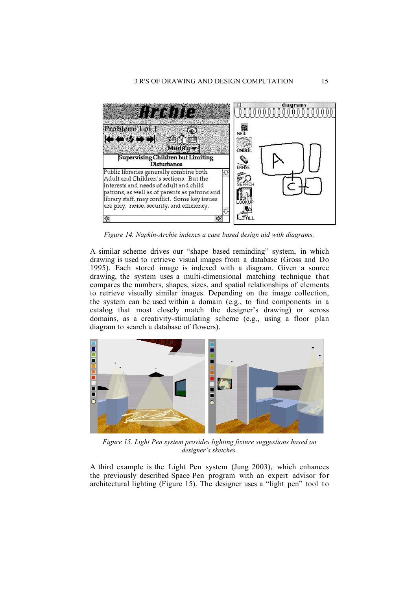

*Figure 14. Napkin-Archie indexes a case based design aid with diagrams.*

A similar scheme drives our "shape based reminding" system, in which drawing is used to retrieve visual images from a database (Gross and Do 1995). Each stored image is indexed with a diagram. Given a source drawing, the system uses a multi-dimensional matching technique that compares the numbers, shapes, sizes, and spatial relationships of elements to retrieve visually similar images. Depending on the image collection, the system can be used within a domain (e.g., to find components in a catalog that most closely match the designer's drawing) or across domains, as a creativity-stimulating scheme (e.g., using a floor plan diagram to search a database of flowers).



*Figure 15. Light Pen system provides lighting fixture suggestions based on designer's sketches.*

A third example is the Light Pen system (Jung 2003), which enhances the previously described Space Pen program with an expert advisor for architectural lighting (Figure 15). The designer uses a "light pen" tool to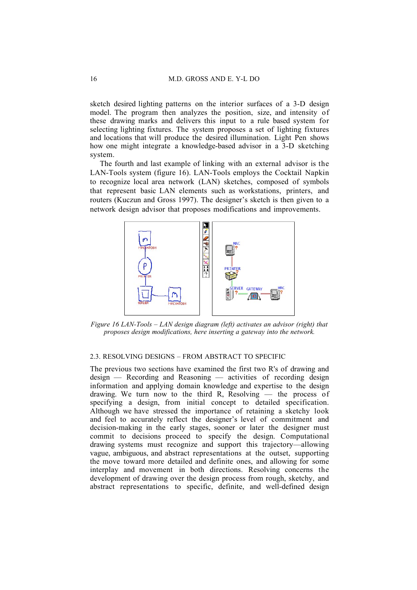sketch desired lighting patterns on the interior surfaces of a 3-D design model. The program then analyzes the position, size, and intensity of these drawing marks and delivers this input to a rule based system for selecting lighting fixtures. The system proposes a set of lighting fixtures and locations that will produce the desired illumination. Light Pen shows how one might integrate a knowledge-based advisor in a 3-D sketching system.

The fourth and last example of linking with an external advisor is the LAN-Tools system (figure 16). LAN-Tools employs the Cocktail Napkin to recognize local area network (LAN) sketches, composed of symbols that represent basic LAN elements such as workstations, printers, and routers (Kuczun and Gross 1997). The designer's sketch is then given to a network design advisor that proposes modifications and improvements.



*Figure 16 LAN-Tools – LAN design diagram (left) activates an advisor (right) that proposes design modifications, here inserting a gateway into the network.*

# 2.3. RESOLVING DESIGNS – FROM ABSTRACT TO SPECIFIC

The previous two sections have examined the first two R's of drawing and design –– Recording and Reasoning –– activities of recording design information and applying domain knowledge and expertise to the design drawing. We turn now to the third R, Resolving  $-$  the process of specifying a design, from initial concept to detailed specification. Although we have stressed the importance of retaining a sketchy look and feel to accurately reflect the designer's level of commitment and decision-making in the early stages, sooner or later the designer must commit to decisions proceed to specify the design. Computational drawing systems must recognize and support this trajectory—allowing vague, ambiguous, and abstract representations at the outset, supporting the move toward more detailed and definite ones, and allowing for some interplay and movement in both directions. Resolving concerns the development of drawing over the design process from rough, sketchy, and abstract representations to specific, definite, and well-defined design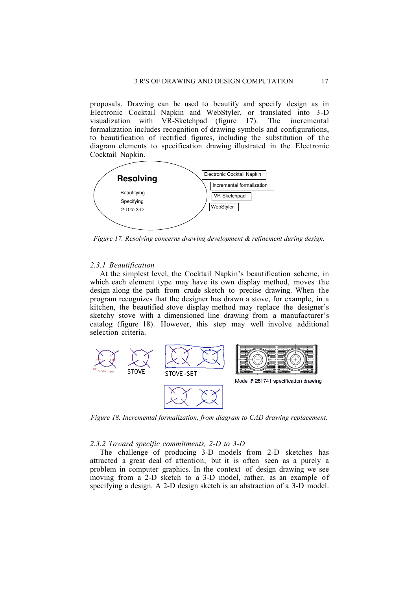proposals. Drawing can be used to beautify and specify design as in Electronic Cocktail Napkin and WebStyler, or translated into 3-D visualization with VR-Sketchpad (figure 17). The incremental formalization includes recognition of drawing symbols and configurations, to beautification of rectified figures, including the substitution of the diagram elements to specification drawing illustrated in the Electronic Cocktail Napkin.



*Figure 17. Resolving concerns drawing development & refinement during design.*

### *2.3.1 Beautification*

At the simplest level, the Cocktail Napkin's beautification scheme, in which each element type may have its own display method, moves the design along the path from crude sketch to precise drawing. When the program recognizes that the designer has drawn a stove, for example, in a kitchen, the beautified stove display method may replace the designer's sketchy stove with a dimensioned line drawing from a manufacturer's catalog (figure 18). However, this step may well involve additional selection criteria.



*Figure 18. Incremental formalization, from diagram to CAD drawing replacement.*

#### *2.3.2 Toward specific commitments, 2-D to 3-D*

The challenge of producing 3-D models from 2-D sketches has attracted a great deal of attention, but it is often seen as a purely a problem in computer graphics. In the context of design drawing we see moving from a 2-D sketch to a 3-D model, rather, as an example of specifying a design. A 2-D design sketch is an abstraction of a 3-D model.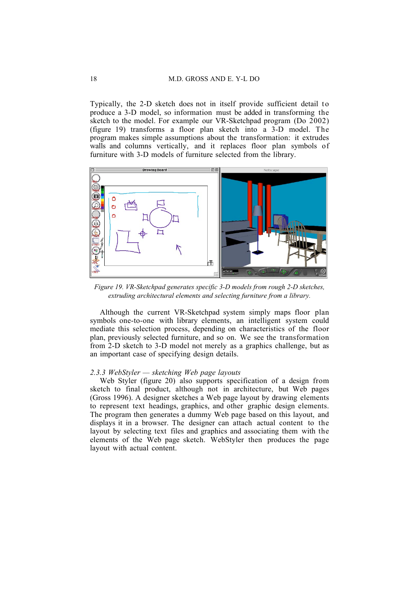Typically, the 2-D sketch does not in itself provide sufficient detail to produce a 3-D model, so information must be added in transforming the sketch to the model. For example our VR-Sketchpad program (Do 2002) (figure 19) transforms a floor plan sketch into a 3-D model. The program makes simple assumptions about the transformation: it extrudes walls and columns vertically, and it replaces floor plan symbols of furniture with 3-D models of furniture selected from the library.



*Figure 19. VR-Sketchpad generates specific 3-D models from rough 2-D sketches, extruding architectural elements and selecting furniture from a library.*

Although the current VR-Sketchpad system simply maps floor plan symbols one-to-one with library elements, an intelligent system could mediate this selection process, depending on characteristics of the floor plan, previously selected furniture, and so on. We see the transformation from 2-D sketch to 3-D model not merely as a graphics challenge, but as an important case of specifying design details.

### *2.3.3 WebStyler — sketching Web page layouts*

Web Styler (figure 20) also supports specification of a design from sketch to final product, although not in architecture, but Web pages (Gross 1996). A designer sketches a Web page layout by drawing elements to represent text headings, graphics, and other graphic design elements. The program then generates a dummy Web page based on this layout, and displays it in a browser. The designer can attach actual content to the layout by selecting text files and graphics and associating them with the elements of the Web page sketch. WebStyler then produces the page layout with actual content.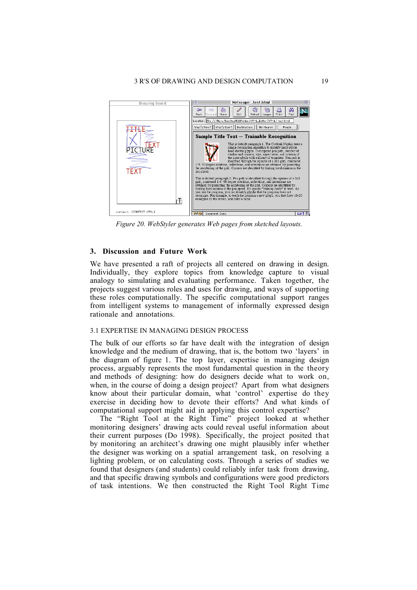

*Figure 20. WebStyler generates Web pages from sketched layouts.*

### **3. Discussion and Future Work**

We have presented a raft of projects all centered on drawing in design. Individually, they explore topics from knowledge capture to visual analogy to simulating and evaluating performance. Taken together, the projects suggest various roles and uses for drawing, and ways of supporting these roles computationally. The specific computational support ranges from intelligent systems to management of informally expressed design rationale and annotations.

#### 3.1 EXPERTISE IN MANAGING DESIGN PROCESS

The bulk of our efforts so far have dealt with the integration of design knowledge and the medium of drawing, that is, the bottom two 'layers' in the diagram of figure 1. The top layer, expertise in managing design process, arguably represents the most fundamental question in the theory and methods of designing: how do designers decide what to work on, when, in the course of doing a design project? Apart from what designers know about their particular domain, what 'control' expertise do they exercise in deciding how to devote their efforts? And what kinds of computational support might aid in applying this control expertise?

The "Right Tool at the Right Time" project looked at whether monitoring designers' drawing acts could reveal useful information about their current purposes (Do 1998). Specifically, the project posited that by monitoring an architect's drawing one might plausibly infer whether the designer was working on a spatial arrangement task, on resolving a lighting problem, or on calculating costs. Through a series of studies we found that designers (and students) could reliably infer task from drawing, and that specific drawing symbols and configurations were good predictors of task intentions. We then constructed the Right Tool Right Time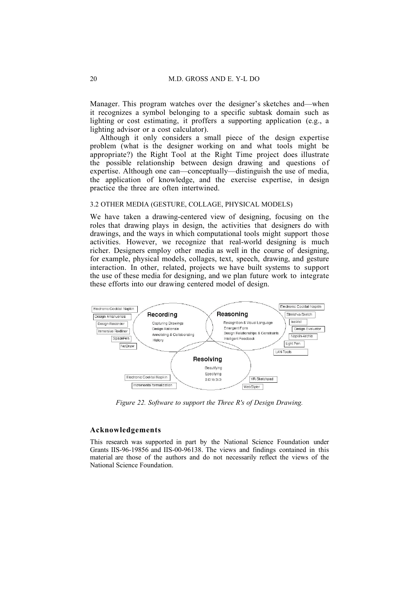Manager. This program watches over the designer's sketches and—when it recognizes a symbol belonging to a specific subtask domain such as lighting or cost estimating, it proffers a supporting application (e.g., a lighting advisor or a cost calculator).

Although it only considers a small piece of the design expertise problem (what is the designer working on and what tools might be appropriate?) the Right Tool at the Right Time project does illustrate the possible relationship between design drawing and questions of expertise. Although one can—conceptually—distinguish the use of media, the application of knowledge, and the exercise expertise, in design practice the three are often intertwined.

### 3.2 OTHER MEDIA (GESTURE, COLLAGE, PHYSICAL MODELS)

We have taken a drawing-centered view of designing, focusing on the roles that drawing plays in design, the activities that designers do with drawings, and the ways in which computational tools might support those activities. However, we recognize that real-world designing is much richer. Designers employ other media as well in the course of designing, for example, physical models, collages, text, speech, drawing, and gesture interaction. In other, related, projects we have built systems to support the use of these media for designing, and we plan future work to integrate these efforts into our drawing centered model of design.



*Figure 22. Software to support the Three R's of Design Drawing.*

### **Acknowledgements**

This research was supported in part by the National Science Foundation under Grants IIS-96-19856 and IIS-00-96138. The views and findings contained in this material are those of the authors and do not necessarily reflect the views of the National Science Foundation.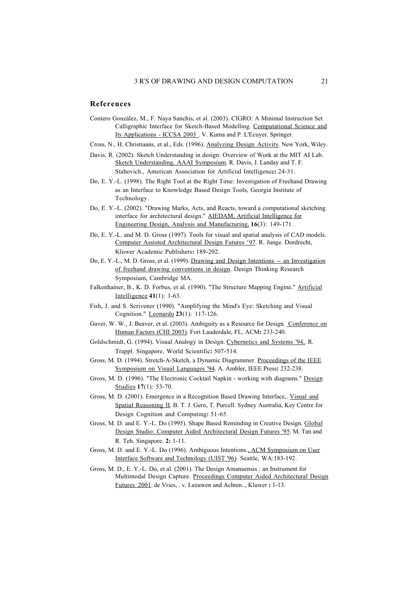## **References**

- Contero González, M., F. Naya Sanchis, et al. (2003). CIGRO: A Minimal Instruction Set Calligraphic Interface for Sketch-Based Modelling. Computational Science and Its Applications - ICCSA 2003 . V. Kuma and P. L'Ecuyer. Springer.
- Cross, N., H. Christiaans, et al., Eds. (1996). Analyzing Design Activity . New York, Wiley.
- Davis, R. (2002). Sketch Understanding in design: Overview of Work at the MIT AI Lab. Sketch Understanding, AAAI Symposium. R. Davis, J. Landay and T. F. Stahovich., American Association for Artificial Intelligence**:** 24-31.
- Do, E. Y.-L. (1998). The Right Tool at the Right Time: Investigation of Freehand Drawing as an Interface to Knowledge Based Design Tools, Georgia Institute of Technology.
- Do, E. Y.-L. (2002). "Drawing Marks, Acts, and Reacts, toward a computational sketching interface for architectural design." AIEDAM, Artificial Intelligence for Engineering Design, Analysis and Manufacturing, **16**(3): 149-171.
- Do, E. Y.-L. and M. D. Gross (1997). Tools for visual and spatial analysis of CAD models. Computer Assisted Architectural Design Futures '97 . R. Junge. Dordrecht, Kluwer Academic Publishers**:** 189-202.
- Do, E. Y.-L., M. D. Gross, et al. (1999). Drawing and Design Intentions -- an Investigation of freehand drawing conventions in design . Design Thinking Research Symposium, Cambridge MA.
- Falkenhainer, B., K. D. Forbus, et al. (1990). "The Structure Mapping Engine." Artificial Intelligence **41**(1): 1-63.
- Fish, J. and S. Scrivener (1990). "Amplifying the Mind's Eye: Sketching and Visual Cognition." Leonardo **23**(1): 117-126.
- Gaver, W. W., J. Beaver, et al. (2003). Ambiguity as a Resource for Design. Conference on Human Factors (CHI 2003) . Fort Lauderdale, FL, ACM**:** 233-240.
- Goldschmidt, G. (1994). Visual Analogy in Design. Cybernetics and Systems '94, R. Trappl. Singapore, World Scientific**:** 507-514.
- Gross, M. D. (1994). Stretch-A-Sketch, a Dynamic Diagrammer. Proceedings of the IEEE Symposium on Visual Languages '94 . A. Ambler, IEEE Press**:** 232-238.
- Gross, M. D. (1996). "The Electronic Cocktail Napkin working with diagrams." Design Studies **17**(1): 53-70.
- Gross, M. D. (2001). Emergence in a Recognition Based Drawing Interface,. Visual and Spatial Reasoning II . B. T. J. Gero, T. Purcell. Sydney Australia, Key Centre for Design Cognition and Computing**:** 51-65.
- Gross, M. D. and E. Y.-L. Do (1995). Shape Based Reminding in Creative Design. Global Design Studio: Computer Aided Architectural Design Futures '95. M. Tan and R. Teh. Singapore. **2:** 1-11.
- Gross, M. D. and E. Y.-L. Do (1996). Ambiguous Intentions. ACM Symposium on User Interface Software and Technology (UIST '96) . Seattle, WA:183-192.
- Gross, M. D., E. Y.-L. Do, et al. (2001). The Design Amanuensis : an Instrument for Multimodal Design Capture. Proceedings Computer Aided Architectural Design Futures 2001 . de Vries, . v. Leeuwen and Achten.., Kluwer **:** 1-13.